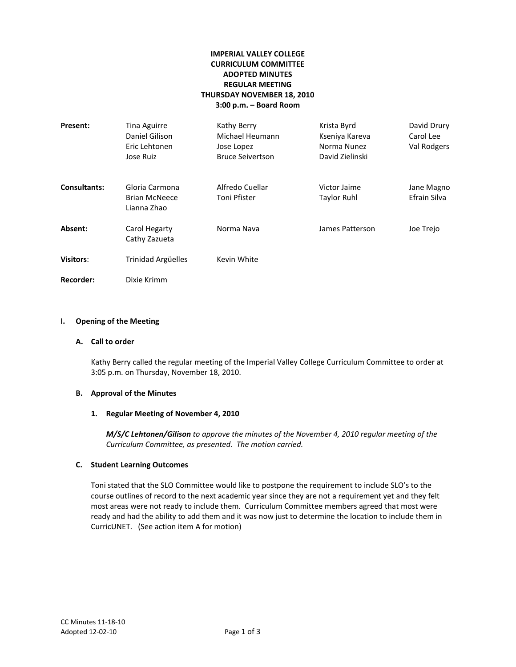# **IMPERIAL VALLEY COLLEGE CURRICULUM COMMITTEE ADOPTED MINUTES REGULAR MEETING THURSDAY NOVEMBER 18, 2010 3:00 p.m. – Board Room**

| Present:            | <b>Tina Aguirre</b><br>Daniel Gilison<br>Eric Lehtonen<br>Jose Ruiz | Kathy Berry<br>Michael Heumann<br>Jose Lopez<br><b>Bruce Seivertson</b> | Krista Byrd<br>Kseniya Kareva<br>Norma Nunez<br>David Zielinski | David Drury<br>Carol Lee<br>Val Rodgers |
|---------------------|---------------------------------------------------------------------|-------------------------------------------------------------------------|-----------------------------------------------------------------|-----------------------------------------|
| <b>Consultants:</b> | Gloria Carmona<br><b>Brian McNeece</b><br>Lianna Zhao               | Alfredo Cuellar<br>Toni Pfister                                         | Victor Jaime<br><b>Taylor Ruhl</b>                              | Jane Magno<br>Efrain Silva              |
| Absent:             | Carol Hegarty<br>Cathy Zazueta                                      | Norma Nava                                                              | James Patterson                                                 | Joe Trejo                               |
| <b>Visitors:</b>    | Trinidad Argüelles                                                  | Kevin White                                                             |                                                                 |                                         |
| <b>Recorder:</b>    | Dixie Krimm                                                         |                                                                         |                                                                 |                                         |

# **I. Opening of the Meeting**

# **A. Call to order**

Kathy Berry called the regular meeting of the Imperial Valley College Curriculum Committee to order at 3:05 p.m. on Thursday, November 18, 2010.

# **B. Approval of the Minutes**

#### **1. Regular Meeting of November 4, 2010**

*M/S/C Lehtonen/Gilison to approve the minutes of the November 4, 2010 regular meeting of the Curriculum Committee, as presented. The motion carried.*

### **C. Student Learning Outcomes**

Toni stated that the SLO Committee would like to postpone the requirement to include SLO's to the course outlines of record to the next academic year since they are not a requirement yet and they felt most areas were not ready to include them. Curriculum Committee members agreed that most were ready and had the ability to add them and it was now just to determine the location to include them in CurricUNET. (See action item A for motion)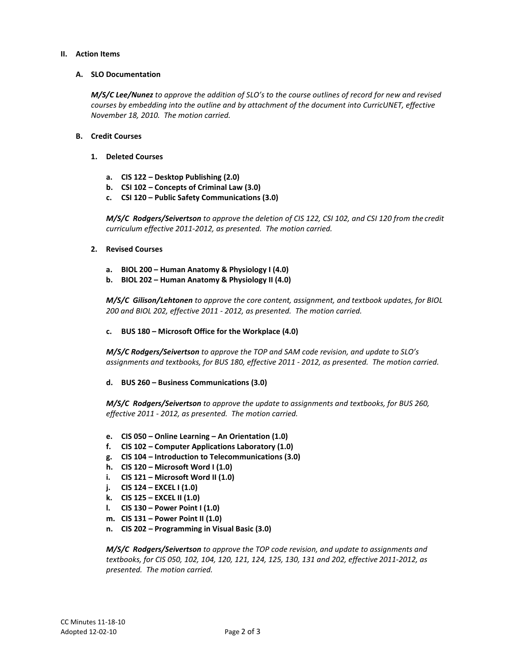### **II. Action Items**

# **A. SLO Documentation**

*M/S/C Lee/Nunez to approve the addition of SLO's to the course outlines of record for new and revised courses by embedding into the outline and by attachment of the document into CurricUNET, effective November 18, 2010. The motion carried.*

# **B. Credit Courses**

- **1. Deleted Courses**
	- **a. CIS 122 – Desktop Publishing (2.0)**
	- **b. CSI 102 – Concepts of Criminal Law (3.0)**
	- **c. CSI 120 – Public Safety Communications (3.0)**

*M/S/C Rodgers/Seivertson to approve the deletion of CIS 122, CSI 102, and CSI 120 from the credit curriculum effective 2011-2012, as presented. The motion carried.*

### **2. Revised Courses**

- **a. BIOL 200 – Human Anatomy & Physiology I (4.0)**
- **b. BIOL 202 – Human Anatomy & Physiology II (4.0)**

*M/S/C Gilison/Lehtonen to approve the core content, assignment, and textbook updates, for BIOL 200 and BIOL 202, effective 2011 - 2012, as presented. The motion carried.*

**c. BUS 180 – Microsoft Office for the Workplace (4.0)**

*M/S/C Rodgers/Seivertson to approve the TOP and SAM code revision, and update to SLO's assignments and textbooks, for BUS 180, effective 2011 - 2012, as presented. The motion carried.*

**d. BUS 260 – Business Communications (3.0)**

*M/S/C Rodgers/Seivertson to approve the update to assignments and textbooks, for BUS 260, effective 2011 - 2012, as presented. The motion carried.*

- **e. CIS 050 – Online Learning – An Orientation (1.0)**
- **f. CIS 102 – Computer Applications Laboratory (1.0)**
- **g. CIS 104 – Introduction to Telecommunications (3.0)**
- **h. CIS 120 – Microsoft Word I (1.0)**
- **i. CIS 121 – Microsoft Word II (1.0)**
- **j. CIS 124 – EXCEL I (1.0)**
- **k. CIS 125 – EXCEL II (1.0)**
- **l. CIS 130 – Power Point I (1.0)**
- **m. CIS 131 – Power Point II (1.0)**
- **n. CIS 202 – Programming in Visual Basic (3.0)**

*M/S/C Rodgers/Seivertson to approve the TOP code revision, and update to assignments and textbooks, for CIS 050, 102, 104, 120, 121, 124, 125, 130, 131 and 202, effective 2011-2012, as presented. The motion carried.*